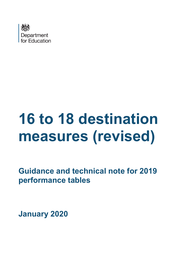

# **16 to 18 destination measures (revised)**

**Guidance and technical note for 2019 performance tables** 

**January 2020**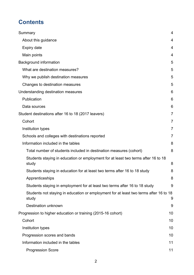# **Contents**

| Summary                                                                                        | 4              |
|------------------------------------------------------------------------------------------------|----------------|
| About this guidance                                                                            | $\overline{4}$ |
| <b>Expiry date</b>                                                                             | $\overline{4}$ |
| Main points                                                                                    | 4              |
| <b>Background information</b>                                                                  | 5              |
| What are destination measures?                                                                 | 5              |
| Why we publish destination measures                                                            | 5              |
| Changes to destination measures                                                                | 5              |
| Understanding destination measures                                                             | 6              |
| Publication                                                                                    | 6              |
| Data sources                                                                                   | 6              |
| Student destinations after 16 to 18 (2017 leavers)                                             | $\overline{7}$ |
| Cohort                                                                                         | 7              |
| Institution types                                                                              | 7              |
| Schools and colleges with destinations reported                                                | 7              |
| Information included in the tables                                                             | 8              |
| Total number of students included in destination measures (cohort)                             | 8              |
| Students staying in education or employment for at least two terms after 16 to 18<br>study     | 8              |
| Students staying in education for at least two terms after 16 to 18 study                      | 8              |
| Apprenticeships                                                                                | 8              |
| Students staying in employment for at least two terms after 16 to 18 study                     | 9              |
| Students not staying in education or employment for at least two terms after 16 to 18<br>study | 9              |
| Destination unknown                                                                            | 9              |
| Progression to higher education or training (2015-16 cohort)                                   | 10             |
| Cohort                                                                                         | 10             |
| Institution types                                                                              | 10             |
| Progression scores and bands                                                                   | 10             |
| Information included in the tables                                                             | 11             |
| <b>Progression Score</b>                                                                       | 11             |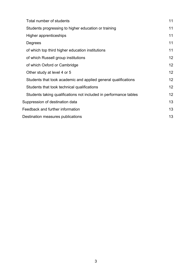| Total number of students                                          | 11 |
|-------------------------------------------------------------------|----|
| Students progressing to higher education or training              | 11 |
| Higher apprenticeships                                            | 11 |
| Degrees                                                           | 11 |
| of which top third higher education institutions                  | 11 |
| of which Russell group institutions                               | 12 |
| of which Oxford or Cambridge                                      | 12 |
| Other study at level 4 or 5                                       | 12 |
| Students that took academic and applied general qualifications    | 12 |
| Students that took technical qualifications                       | 12 |
| Students taking qualifications not included in performance tables | 12 |
| Suppression of destination data                                   | 13 |
| Feedback and further information                                  | 13 |
| Destination measures publications                                 |    |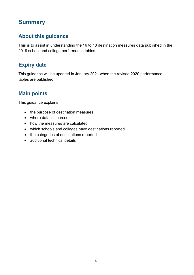## <span id="page-3-0"></span>**Summary**

## <span id="page-3-1"></span>**About this guidance**

This is to assist in understanding the 16 to 18 destination measures data published in the 2019 school and college performance tables.

## <span id="page-3-2"></span>**Expiry date**

This guidance will be updated in January 2021 when the revised 2020 performance tables are published.

## <span id="page-3-3"></span>**Main points**

This guidance explains

- the purpose of destination measures
- where data is sourced
- how the measures are calculated
- which schools and colleges have destinations reported
- the categories of destinations reported
- additional technical details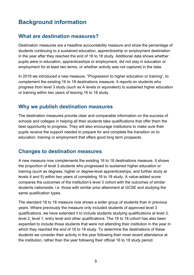## <span id="page-4-0"></span>**Background information**

## <span id="page-4-1"></span>**What are destination measures?**

Destination measures are a headline accountability measure and show the percentage of students continuing to a sustained education, apprenticeship or employment destination in the year after they reached the end of 16 to 18 study. Additional data shows whether pupils were in education, apprenticeships or employment, did not stay in education or employment for at least two terms, or whether activity was not captured in the data.

In 2019 we introduced a new measure, "Progression to higher education or training", to complement the existing 16 to 18 destinations measure. It reports on students who progress from level 3 study (such as A levels or equivalent) to sustained higher education or training within two years of leaving 16 to 18 study.

## <span id="page-4-2"></span>**Why we publish destination measures**

The destination measures provide clear and comparable information on the success of schools and colleges in helping all their students take qualifications that offer them the best opportunity to progress. They will also encourage institutions to make sure their pupils receive the support needed to prepare for and complete the transition on to education, training or employment that offers good long term prospects.

### <span id="page-4-3"></span>**Changes to destination measures**

A new measure now complements the existing 16 to 18 destinations measure. It shows the proportion of level 3 students who progressed to sustained higher education or training (such as degrees, higher or degree-level apprenticeships, and further study at levels 4 and 5) within two years of completing 16 to 18 study. A value-added score compares the outcomes of the institution's level 3 cohort with the outcomes of similar students nationwide, i.e. those with similar prior attainment at GCSE and studying the same qualification types.

The standard 16 to 18 measure now shows a wider group of students than in previous years. Where previously the measure only included students of approved level 3 qualifications, we have extended it to include students studying qualifications at level 3, level 2, level 1, entry level and other qualifications. The 16 to 18 cohort has also been expanded to include those students that were not attending their institution in the year in which they reached the end of 16 to 18 study. To determine the destinations of these students we consider their activity in the year following their most recent attendance at the institution, rather than the year following their official 16 to 18 study period.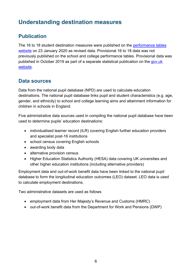## <span id="page-5-0"></span>**Understanding destination measures**

## <span id="page-5-1"></span>**Publication**

The 16 to 18 student destination measures were published on the performance tables [website](https://www.gov.uk/school-performance-tables) on 23 January 2020 as revised data. Provisional 16 to 18 data was not previously published on the school and college performance tables. Provisional data was published in October 2019 as part of a separate statistical publication on the gov.uk [website.](https://www.gov.uk/government/statistics/destinations-of-ks4-and-16-to-18-ks5-students-2018)

## <span id="page-5-2"></span>**Data sources**

Data from the national pupil database (NPD) are used to calculate education destinations. The national pupil database links pupil and student characteristics (e.g. age, gender, and ethnicity) to school and college learning aims and attainment information for children in schools in England.

Five administrative data sources used in compiling the national pupil database have been used to determine pupils' education destinations:

- individualised learner record (ILR) covering English further education providers and specialist post-16 institutions
- school census covering English schools
- awarding body data
- alternative provision census
- Higher Education Statistics Authority (HESA) data covering UK universities and other higher education institutions (including alternative providers)

Employment data and out-of-work benefit data have been linked to the national pupil database to form the longitudinal education outcomes (LEO) dataset. LEO data is used to calculate employment destinations.

Two administrative datasets are used as follows

- employment data from Her Majesty's Revenue and Customs (HMRC)
- out-of-work benefit data from the Department for Work and Pensions (DWP)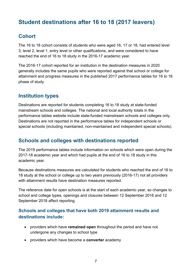## <span id="page-6-0"></span>**Student destinations after 16 to 18 (2017 leavers)**

## <span id="page-6-1"></span>**Cohort**

The 16 to 18 cohort consists of students who were aged 16, 17 or 18, had entered level 3, level 2, level 1, entry level or other qualifications, and were considered to have reached the end of 16 to 18 study in the 2016-17 academic year.

The 2016-17 cohort reported for an institution in the destination measures in 2020 generally includes the same pupils who were reported against that school or college for attainment and progress measures in the published 2017 performance tables for 16 to 18 phase of study.

## <span id="page-6-2"></span>**Institution types**

Destinations are reported for students completing 16 to 18 study at state-funded mainstream schools and colleges. The national and local authority totals in the performance tables website include state-funded mainstream schools and colleges only. Destinations are not reported in the performance tables for independent schools or special schools (including maintained, non-maintained and independent special schools).

## <span id="page-6-3"></span>**Schools and colleges with destinations reported**

The 2019 performance tables include information on schools which were open during the 2017-18 academic year and which had pupils at the end of 16 to 18 study in this academic year.

Because destinations measures are calculated for students who reached the end of 16 to 18 study at the school or college up to two years previously (2016-17) not all providers with attainment results have destination measures reported.

The reference date for open schools is at the start of each academic year, so changes to school and college types, openings and closures between 12 September 2016 and 12 September 2018 affect reporting.

#### **Schools and colleges that have both 2019 attainment results and destinations include:**

- providers which have **remained open** throughout the period and have not undergone any changes to school type
- providers which have become a **converter** academy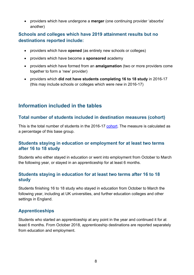• providers which have undergone a **merger** (one continuing provider 'absorbs' another)

#### **Schools and colleges which have 2019 attainment results but no destinations reported include:**

- providers which have **opened** (as entirely new schools or colleges)
- providers which have become a **sponsored** academy
- providers which have formed from an **amalgamation** (two or more providers come together to form a 'new' provider)
- providers which **did not have students completing 16 to 18 study** in 2016-17 (this may include schools or colleges which were new in 2016-17)

## <span id="page-7-0"></span>**Information included in the tables**

#### <span id="page-7-1"></span>**Total number of students included in destination measures (cohort)**

This is the total number of students in the 2016-17 [cohort.](#page-6-0) The measure is calculated as a percentage of this base group.

#### <span id="page-7-2"></span>**Students staying in education or employment for at least two terms after 16 to 18 study**

Students who either stayed in education or went into employment from October to March the following year, or stayed in an apprenticeship for at least 6 months.

#### <span id="page-7-3"></span>**Students staying in education for at least two terms after 16 to 18 study**

Students finishing 16 to 18 study who stayed in education from October to March the following year, including at UK universities, and further education colleges and other settings in England.

### <span id="page-7-4"></span>**Apprenticeships**

Students who started an apprenticeship at any point in the year and continued it for at least 6 months. From October 2018, apprenticeship destinations are reported separately from education and employment.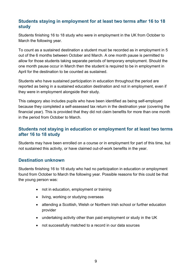#### <span id="page-8-0"></span>**Students staying in employment for at least two terms after 16 to 18 study**

Students finishing 16 to 18 study who were in employment in the UK from October to March the following year.

To count as a sustained destination a student must be recorded as in employment in 5 out of the 6 months between October and March. A one month pause is permitted to allow for those students taking separate periods of temporary employment. Should the one month pause occur in March then the student is required to be in employment in April for the destination to be counted as sustained.

Students who have sustained participation in education throughout the period are reported as being in a sustained education destination and not in employment, even if they were in employment alongside their study.

This category also includes pupils who have been identified as being self-employed because they completed a self-assessed tax return in the destination year (covering the financial year). This is provided that they did not claim benefits for more than one month in the period from October to March.

#### <span id="page-8-1"></span>**Students not staying in education or employment for at least two terms after 16 to 18 study**

Students may have been enrolled on a course or in employment for part of this time, but not sustained this activity, or have claimed out-of-work benefits in the year.

#### <span id="page-8-2"></span>**Destination unknown**

Students finishing 16 to 18 study who had no participation in education or employment found from October to March the following year. Possible reasons for this could be that the young person was:

- not in education, employment or training
- living, working or studying overseas
- attending a Scottish, Welsh or Northern Irish school or further education provider
- undertaking activity other than paid employment or study in the UK
- not successfully matched to a record in our data sources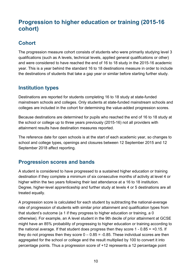## <span id="page-9-0"></span>**Progression to higher education or training (2015-16 cohort)**

## <span id="page-9-1"></span>**Cohort**

The progression measure cohort consists of students who were primarily studying level 3 qualifications (such as A levels, technical levels, applied general qualifications or other) and were considered to have reached the end of 16 to 18 study in the 2015-16 academic year. This is a year behind the standard 16 to 18 destinations measure in order to include the destinations of students that take a gap year or similar before starting further study.

## <span id="page-9-2"></span>**Institution types**

Destinations are reported for students completing 16 to 18 study at state-funded mainstream schools and colleges. Only students at state-funded mainstream schools and colleges are included in the cohort for determining the value-added progression scores.

Because destinations are determined for pupils who reached the end of 16 to 18 study at the school or college up to three years previously (2015-16) not all providers with attainment results have destination measures reported.

The reference date for open schools is at the start of each academic year, so changes to school and college types, openings and closures between 12 September 2015 and 12 September 2018 affect reporting.

## <span id="page-9-3"></span>**Progression scores and bands**

A student is considered to have progressed to a sustained higher education or training destination if they complete a minimum of six consecutive months of activity at level 4 or higher within the two years following their last attendance at a 16 to 18 institution. Degree, higher-level apprenticeship and further study at levels 4 or 5 destinations are all treated equally.

A progression score is calculated for each student by subtracting the national-average rate of progression of students with similar prior attainment and qualification types from that student's outcome (a 1 if they progress to higher education or training, a 0 otherwise). For example, an A level student in the 9th decile of prior attainment at GCSE might have an 85% probability of progressing to higher education or training according to the national average. If that student does progress then they score  $1 - 0.85 = +0.15$ . If they do not progress then they score  $0 - 0.85 = -0.85$ . These individual scores are then aggregated for the school or college and the result multiplied by 100 to convert it into percentage points. Thus a progression score of +12 represents a 12 percentage point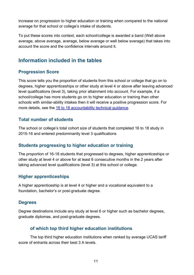increase on progression to higher education or training when compared to the national average for that school or college's intake of students.

To put these scores into context, each school/college is awarded a band (Well above average, above average, average, below average or well below average) that takes into account the score and the confidence intervals around it.

## <span id="page-10-0"></span>**Information included in the tables**

#### <span id="page-10-1"></span>**Progression Score**

This score tells you the proportion of students from this school or college that go on to degrees, higher apprenticeships or other study at level 4 or above after leaving advanced level qualifications (level 3), taking prior attainment into account. For example, if a school/college has more students go on to higher education or training than other schools with similar-ability intakes then it will receive a positive progression score. For more details, see the [16 to 18 accountability technical guidance.](https://www.gov.uk/government/publications/16-to-19-accountability-headline-measures-technical-guide)

#### <span id="page-10-2"></span>**Total number of students**

The school or college's total cohort size of students that completed 16 to 18 study in 2015-16 and entered predominantly level 3 qualifications

#### <span id="page-10-3"></span>**Students progressing to higher education or training**

The proportion of 16-18 students that progressed to degrees, higher apprenticeships or other study at level 4 or above for at least 6 consecutive months in the 2 years after taking advanced level qualifications (level 3) at this school or college.

#### <span id="page-10-4"></span>**Higher apprenticeships**

A higher apprenticeship is at level 4 or higher and a vocational equivalent to a foundation, bachelor's or post-graduate degree.

#### <span id="page-10-5"></span>**Degrees**

Degree destinations include any study at level 6 or higher such as bachelor degrees, graduate diplomas, and post-graduate degrees.

#### <span id="page-10-6"></span> **of which top third higher education institutions**

The top third higher education institutions when ranked by average UCAS tariff score of entrants across their best 3 A levels.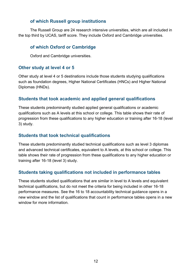#### <span id="page-11-0"></span> **of which Russell group institutions**

The Russell Group are 24 research intensive universities, which are all included in the top third by UCAS, tariff score. They include Oxford and Cambridge universities.

#### <span id="page-11-1"></span> **of which Oxford or Cambridge**

Oxford and Cambridge universities.

#### <span id="page-11-2"></span>**Other study at level 4 or 5**

Other study at level 4 or 5 destinations include those students studying qualifications such as foundation degrees, Higher National Certificates (HNCs) and Higher National Diplomas (HNDs).

#### <span id="page-11-3"></span>**Students that took academic and applied general qualifications**

These students predominantly studied applied general qualifications or academic qualifications such as A levels at this school or college. This table shows their rate of progression from these qualifications to any higher education or training after 16-18 (level 3) study.

#### <span id="page-11-4"></span>**Students that took technical qualifications**

These students predominantly studied technical qualifications such as level 3 diplomas and advanced technical certificates, equivalent to A levels, at this school or college. This table shows their rate of progression from these qualifications to any higher education or training after 16-18 (level 3) study.

#### <span id="page-11-5"></span>**Students taking qualifications not included in performance tables**

These students studied qualifications that are similar in level to A levels and equivalent technical qualifications, but do not meet the criteria for being included in other 16-18 performance measures. See the 16 to 18 accountability technical guidance opens in a new window and the list of qualifications that count in performance tables opens in a new window for more information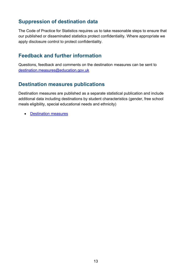## <span id="page-12-0"></span>**Suppression of destination data**

The Code of Practice for Statistics requires us to take reasonable steps to ensure that our published or disseminated statistics protect confidentiality. Where appropriate we apply disclosure control to protect confidentiality.

## <span id="page-12-1"></span>**Feedback and further information**

Questions, feedback and comments on the destination measures can be sent to [destination.measures@education.gov.uk](mailto:destination.measures@education.gov.uk)

## <span id="page-12-2"></span>**Destination measures publications**

Destination measures are published as a separate statistical publication and include additional data including destinations by student characteristics (gender, free school meals eligibility, special educational needs and ethnicity)

• [Destination measures](https://www.gov.uk/government/collections/statistics-destinations)